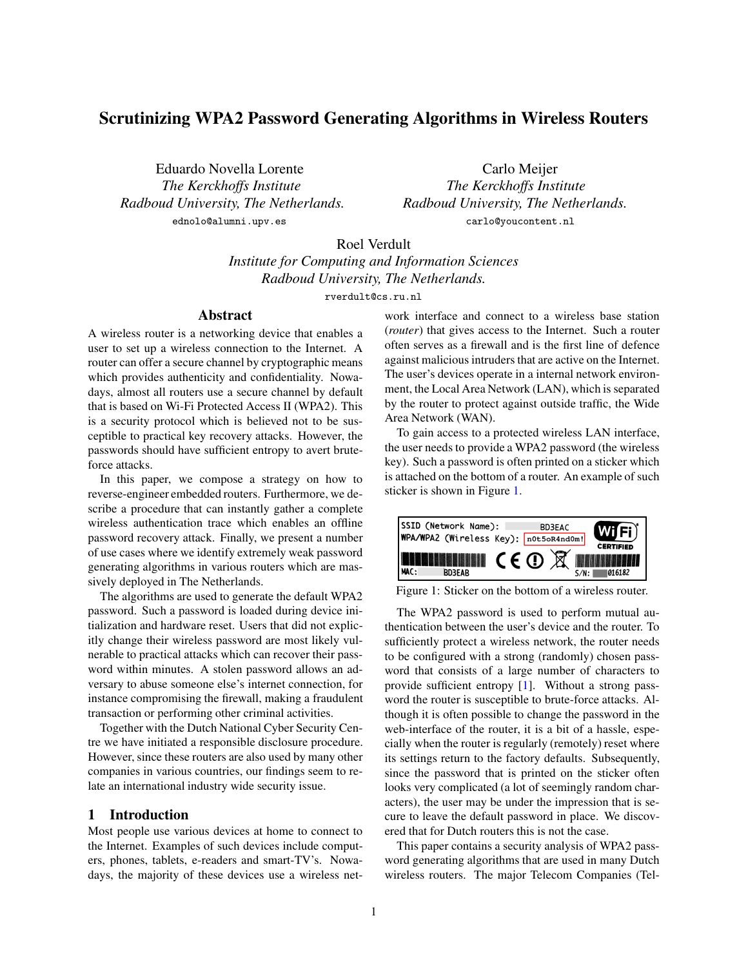# Scrutinizing WPA2 Password Generating Algorithms in Wireless Routers

Eduardo Novella Lorente Carlo Meijer *Radboud University, The Netherlands. Radboud University, The Netherlands.* ednolo@alumni.upv.es*,* carlo@youcontent.nl

*The Kerckhoffs Institute The Kerckhoffs Institute*

Roel Verdult

*Institute for Computing and Information Sciences Radboud University, The Netherlands.*

rverdult@cs.ru.nl

# Abstract

A wireless router is a networking device that enables a user to set up a wireless connection to the Internet. A router can offer a secure channel by cryptographic means which provides authenticity and confidentiality. Nowadays, almost all routers use a secure channel by default that is based on Wi-Fi Protected Access II (WPA2). This is a security protocol which is believed not to be susceptible to practical key recovery attacks. However, the passwords should have sufficient entropy to avert bruteforce attacks.

In this paper, we compose a strategy on how to reverse-engineer embedded routers. Furthermore, we describe a procedure that can instantly gather a complete wireless authentication trace which enables an offline password recovery attack. Finally, we present a number of use cases where we identify extremely weak password generating algorithms in various routers which are massively deployed in The Netherlands.

The algorithms are used to generate the default WPA2 password. Such a password is loaded during device initialization and hardware reset. Users that did not explicitly change their wireless password are most likely vulnerable to practical attacks which can recover their password within minutes. A stolen password allows an adversary to abuse someone else's internet connection, for instance compromising the firewall, making a fraudulent transaction or performing other criminal activities.

Together with the Dutch National Cyber Security Centre we have initiated a responsible disclosure procedure. However, since these routers are also used by many other companies in various countries, our findings seem to relate an international industry wide security issue.

# 1 Introduction

Most people use various devices at home to connect to the Internet. Examples of such devices include computers, phones, tablets, e-readers and smart-TV's. Nowadays, the majority of these devices use a wireless network interface and connect to a wireless base station (*router*) that gives access to the Internet. Such a router often serves as a firewall and is the first line of defence against malicious intruders that are active on the Internet. The user's devices operate in a internal network environment, the Local Area Network (LAN), which is separated by the router to protect against outside traffic, the Wide Area Network (WAN).

To gain access to a protected wireless LAN interface, the user needs to provide a WPA2 password (the wireless key). Such a password is often printed on a sticker which is attached on the bottom of a router. An example of such sticker is shown in Figure [1.](#page-0-0)



<span id="page-0-0"></span>Figure 1: Sticker on the bottom of a wireless router.

The WPA2 password is used to perform mutual authentication between the user's device and the router. To sufficiently protect a wireless network, the router needs to be configured with a strong (randomly) chosen password that consists of a large number of characters to provide sufficient entropy [\[1\]](#page-10-0). Without a strong password the router is susceptible to brute-force attacks. Although it is often possible to change the password in the web-interface of the router, it is a bit of a hassle, especially when the router is regularly (remotely) reset where its settings return to the factory defaults. Subsequently, since the password that is printed on the sticker often looks very complicated (a lot of seemingly random characters), the user may be under the impression that is secure to leave the default password in place. We discovered that for Dutch routers this is not the case.

This paper contains a security analysis of WPA2 password generating algorithms that are used in many Dutch wireless routers. The major Telecom Companies (Tel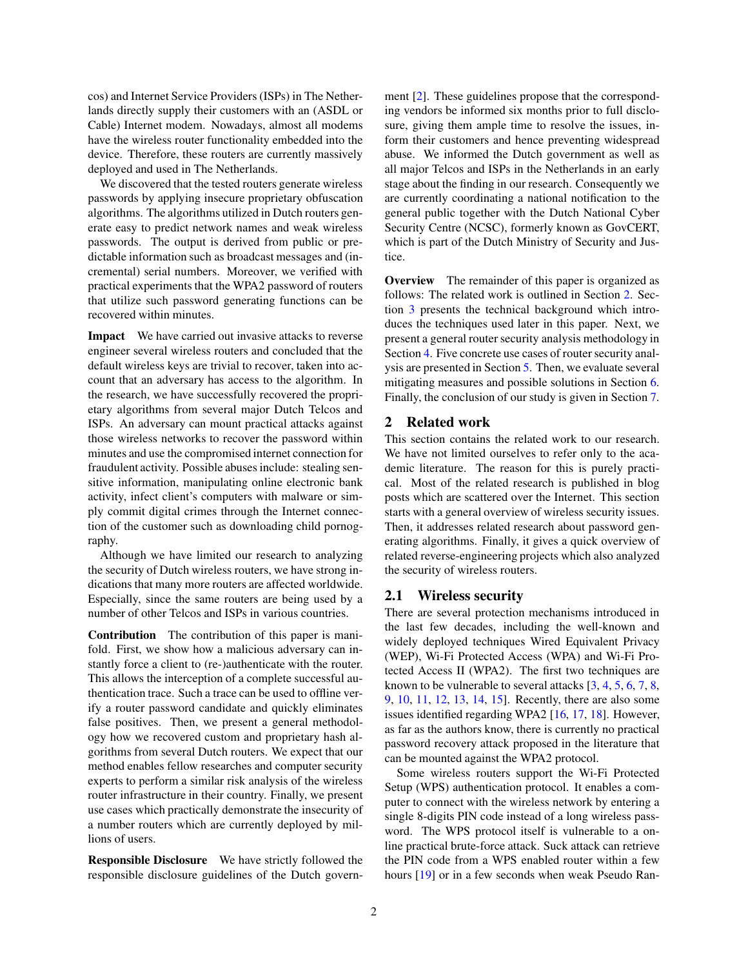cos) and Internet Service Providers (ISPs) in The Netherlands directly supply their customers with an (ASDL or Cable) Internet modem. Nowadays, almost all modems have the wireless router functionality embedded into the device. Therefore, these routers are currently massively deployed and used in The Netherlands.

We discovered that the tested routers generate wireless passwords by applying insecure proprietary obfuscation algorithms. The algorithms utilized in Dutch routers generate easy to predict network names and weak wireless passwords. The output is derived from public or predictable information such as broadcast messages and (incremental) serial numbers. Moreover, we verified with practical experiments that the WPA2 password of routers that utilize such password generating functions can be recovered within minutes.

Impact We have carried out invasive attacks to reverse engineer several wireless routers and concluded that the default wireless keys are trivial to recover, taken into account that an adversary has access to the algorithm. In the research, we have successfully recovered the proprietary algorithms from several major Dutch Telcos and ISPs. An adversary can mount practical attacks against those wireless networks to recover the password within minutes and use the compromised internet connection for fraudulent activity. Possible abuses include: stealing sensitive information, manipulating online electronic bank activity, infect client's computers with malware or simply commit digital crimes through the Internet connection of the customer such as downloading child pornography.

Although we have limited our research to analyzing the security of Dutch wireless routers, we have strong indications that many more routers are affected worldwide. Especially, since the same routers are being used by a number of other Telcos and ISPs in various countries.

Contribution The contribution of this paper is manifold. First, we show how a malicious adversary can instantly force a client to (re-)authenticate with the router. This allows the interception of a complete successful authentication trace. Such a trace can be used to offline verify a router password candidate and quickly eliminates false positives. Then, we present a general methodology how we recovered custom and proprietary hash algorithms from several Dutch routers. We expect that our method enables fellow researches and computer security experts to perform a similar risk analysis of the wireless router infrastructure in their country. Finally, we present use cases which practically demonstrate the insecurity of a number routers which are currently deployed by millions of users.

Responsible Disclosure We have strictly followed the responsible disclosure guidelines of the Dutch government [\[2\]](#page-10-1). These guidelines propose that the corresponding vendors be informed six months prior to full disclosure, giving them ample time to resolve the issues, inform their customers and hence preventing widespread abuse. We informed the Dutch government as well as all major Telcos and ISPs in the Netherlands in an early stage about the finding in our research. Consequently we are currently coordinating a national notification to the general public together with the Dutch National Cyber Security Centre (NCSC), formerly known as GovCERT, which is part of the Dutch Ministry of Security and Justice.

Overview The remainder of this paper is organized as follows: The related work is outlined in Section [2.](#page-1-0) Section [3](#page-2-0) presents the technical background which introduces the techniques used later in this paper. Next, we present a general router security analysis methodology in Section [4.](#page-3-0) Five concrete use cases of router security analysis are presented in Section [5.](#page-7-0) Then, we evaluate several mitigating measures and possible solutions in Section [6.](#page-9-0) Finally, the conclusion of our study is given in Section [7.](#page-9-1)

# <span id="page-1-0"></span>2 Related work

This section contains the related work to our research. We have not limited ourselves to refer only to the academic literature. The reason for this is purely practical. Most of the related research is published in blog posts which are scattered over the Internet. This section starts with a general overview of wireless security issues. Then, it addresses related research about password generating algorithms. Finally, it gives a quick overview of related reverse-engineering projects which also analyzed the security of wireless routers.

## 2.1 Wireless security

There are several protection mechanisms introduced in the last few decades, including the well-known and widely deployed techniques Wired Equivalent Privacy (WEP), Wi-Fi Protected Access (WPA) and Wi-Fi Protected Access II (WPA2). The first two techniques are known to be vulnerable to several attacks  $[3, 4, 5, 6, 7, 8,$  $[3, 4, 5, 6, 7, 8,$  $[3, 4, 5, 6, 7, 8,$  $[3, 4, 5, 6, 7, 8,$  $[3, 4, 5, 6, 7, 8,$  $[3, 4, 5, 6, 7, 8,$  $[3, 4, 5, 6, 7, 8,$  $[3, 4, 5, 6, 7, 8,$  $[3, 4, 5, 6, 7, 8,$  $[3, 4, 5, 6, 7, 8,$  $[3, 4, 5, 6, 7, 8,$ [9](#page-10-8), [10](#page-10-9), [11,](#page-10-10) [12](#page-10-11), [13](#page-10-12), [14,](#page-10-13) [15\]](#page-10-14). Recently, there are also some issues identified regarding WPA2 [\[16,](#page-10-15) [17](#page-10-16), [18](#page-10-17)]. However, as far as the authors know, there is currently no practical password recovery attack proposed in the literature that can be mounted against the WPA2 protocol.

Some wireless routers support the Wi-Fi Protected Setup (WPS) authentication protocol. It enables a computer to connect with the wireless network by entering a single 8-digits PIN code instead of a long wireless password. The WPS protocol itself is vulnerable to a online practical brute-force attack. Suck attack can retrieve the PIN code from a WPS enabled router within a few hours [\[19](#page-10-18)] or in a few seconds when weak Pseudo Ran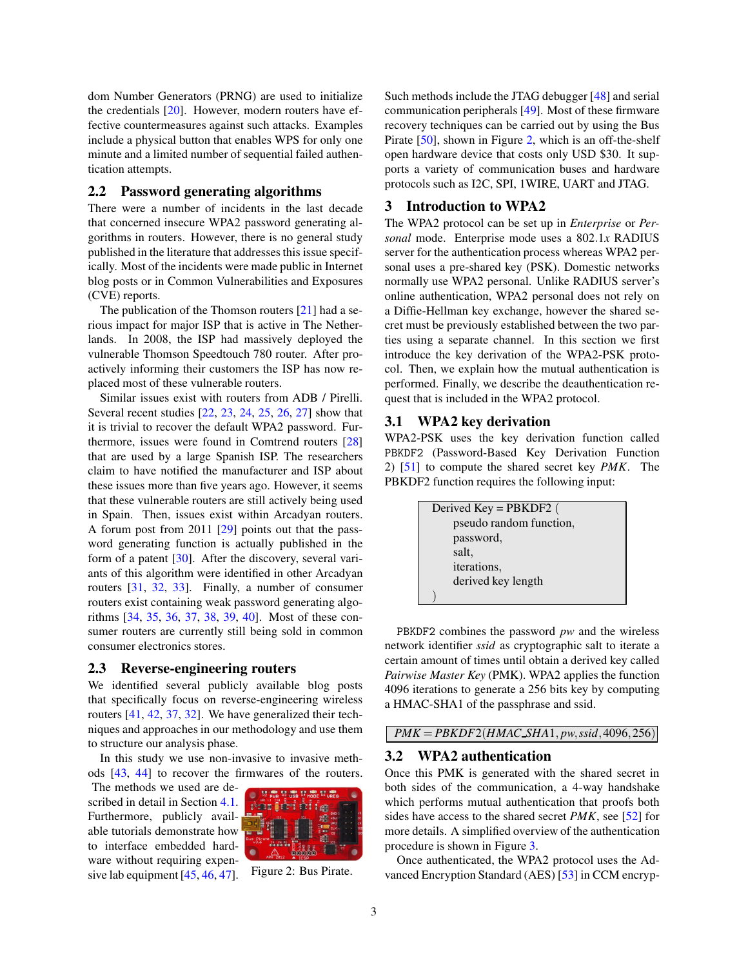dom Number Generators (PRNG) are used to initialize the credentials [\[20](#page-10-19)]. However, modern routers have effective countermeasures against such attacks. Examples include a physical button that enables WPS for only one minute and a limited number of sequential failed authentication attempts.

# 2.2 Password generating algorithms

There were a number of incidents in the last decade that concerned insecure WPA2 password generating algorithms in routers. However, there is no general study published in the literature that addresses this issue specifically. Most of the incidents were made public in Internet blog posts or in Common Vulnerabilities and Exposures (CVE) reports.

The publication of the Thomson routers  $[21]$  had a serious impact for major ISP that is active in The Netherlands. In 2008, the ISP had massively deployed the vulnerable Thomson Speedtouch 780 router. After proactively informing their customers the ISP has now replaced most of these vulnerable routers.

Similar issues exist with routers from ADB / Pirelli. Several recent studies [\[22,](#page-10-21) [23,](#page-11-0) [24](#page-11-1), [25,](#page-11-2) [26,](#page-11-3) [27](#page-11-4)] show that it is trivial to recover the default WPA2 password. Furthermore, issues were found in Comtrend routers [\[28\]](#page-11-5) that are used by a large Spanish ISP. The researchers claim to have notified the manufacturer and ISP about these issues more than five years ago. However, it seems that these vulnerable routers are still actively being used in Spain. Then, issues exist within Arcadyan routers. A forum post from 2011 [\[29\]](#page-11-6) points out that the password generating function is actually published in the form of a patent [\[30](#page-11-7)]. After the discovery, several variants of this algorithm were identified in other Arcadyan routers [\[31,](#page-11-8) [32,](#page-11-9) [33\]](#page-11-10). Finally, a number of consumer routers exist containing weak password generating algorithms [\[34](#page-11-11), [35,](#page-11-12) [36,](#page-11-13) [37,](#page-11-14) [38](#page-11-15), [39,](#page-11-16) [40\]](#page-11-17). Most of these consumer routers are currently still being sold in common consumer electronics stores.

### 2.3 Reverse-engineering routers

We identified several publicly available blog posts that specifically focus on reverse-engineering wireless routers [\[41,](#page-11-18) [42,](#page-11-19) [37,](#page-11-14) [32](#page-11-9)]. We have generalized their techniques and approaches in our methodology and use them to structure our analysis phase.

In this study we use non-invasive to invasive methods [\[43,](#page-11-20) [44\]](#page-11-21) to recover the firmwares of the routers.

The methods we used are described in detail in Section [4.1.](#page-3-1) Furthermore, publicly available tutorials demonstrate how to interface embedded hardware without requiring expen-sive lab equipment [\[45,](#page-11-22) [46](#page-11-23), [47\]](#page-11-24).



Figure 2: Bus Pirate.

Such methods include the JTAG debugger [\[48\]](#page-11-25) and serial communication peripherals [\[49](#page-11-26)]. Most of these firmware recovery techniques can be carried out by using the Bus Pirate [\[50](#page-11-27)], shown in Figure [2,](#page-2-1) which is an off-the-shelf open hardware device that costs only USD \$30. It supports a variety of communication buses and hardware protocols such as I2C, SPI, 1WIRE, UART and JTAG.

# <span id="page-2-0"></span>3 Introduction to WPA2

The WPA2 protocol can be set up in *Enterprise* or *Personal* mode. Enterprise mode uses a 802.1*x* RADIUS server for the authentication process whereas WPA2 personal uses a pre-shared key (PSK). Domestic networks normally use WPA2 personal. Unlike RADIUS server's online authentication, WPA2 personal does not rely on a Diffie-Hellman key exchange, however the shared secret must be previously established between the two parties using a separate channel. In this section we first introduce the key derivation of the WPA2-PSK protocol. Then, we explain how the mutual authentication is performed. Finally, we describe the deauthentication request that is included in the WPA2 protocol.

# 3.1 WPA2 key derivation

WPA2-PSK uses the key derivation function called PBKDF2 (Password-Based Key Derivation Function 2) [\[51\]](#page-11-28) to compute the shared secret key *PMK*. The PBKDF2 function requires the following input:

| Derived $Key = PBKDF2$ ( |
|--------------------------|
| pseudo random function,  |
| password,                |
| salt.                    |
| iterations,              |
| derived key length       |
|                          |
|                          |

PBKDF2 combines the password *pw* and the wireless network identifier *ssid* as cryptographic salt to iterate a certain amount of times until obtain a derived key called *Pairwise Master Key* (PMK). WPA2 applies the function 4096 iterations to generate a 256 bits key by computing a HMAC-SHA1 of the passphrase and ssid.

# *PMK* = *PBKDF*2(*HMAC SHA*1, *pw*,*ssid*,4096,256)

# 3.2 WPA2 authentication

Once this PMK is generated with the shared secret in both sides of the communication, a 4-way handshake which performs mutual authentication that proofs both sides have access to the shared secret *PMK*, see [\[52\]](#page-11-29) for more details. A simplified overview of the authentication procedure is shown in Figure [3.](#page-3-2)

<span id="page-2-1"></span>Once authenticated, the WPA2 protocol uses the Advanced Encryption Standard (AES) [\[53\]](#page-12-0) in CCM encryp-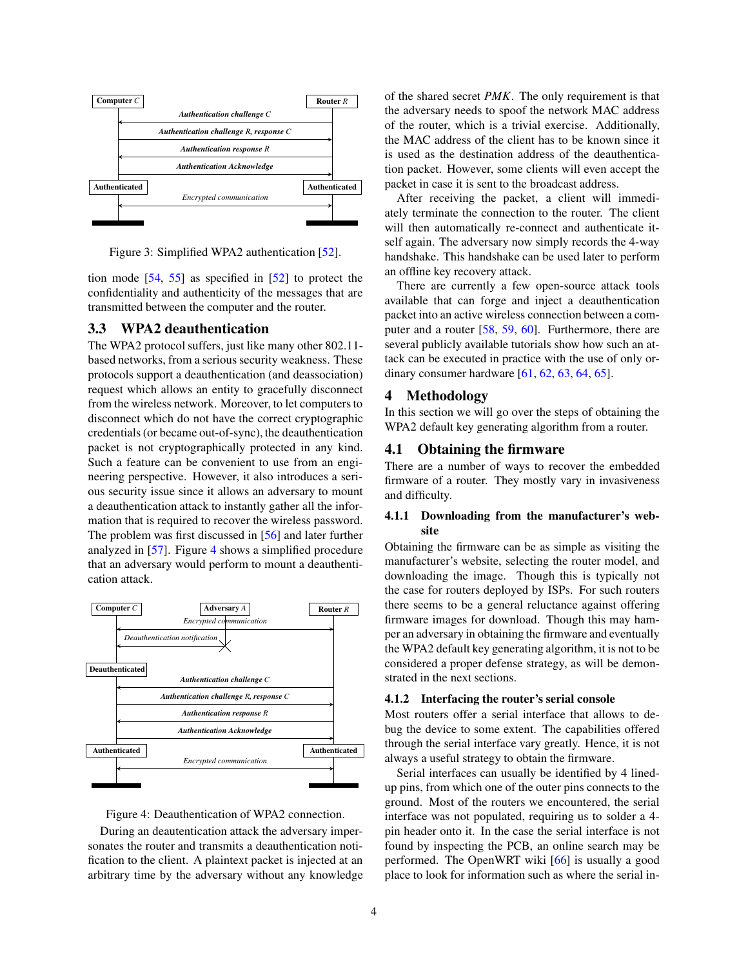

<span id="page-3-2"></span>Figure 3: Simplified WPA2 authentication [\[52\]](#page-11-29).

tion mode [\[54,](#page-12-1) [55](#page-12-2)] as specified in [\[52](#page-11-29)] to protect the confidentiality and authenticity of the messages that are transmitted between the computer and the router.

# <span id="page-3-5"></span>3.3 WPA2 deauthentication

The WPA2 protocol suffers, just like many other 802.11 based networks, from a serious security weakness. These protocols support a deauthentication (and deassociation) request which allows an entity to gracefully disconnect from the wireless network. Moreover, to let computers to disconnect which do not have the correct cryptographic credentials (or became out-of-sync), the deauthentication packet is not cryptographically protected in any kind. Such a feature can be convenient to use from an engineering perspective. However, it also introduces a serious security issue since it allows an adversary to mount a deauthentication attack to instantly gather all the information that is required to recover the wireless password. The problem was first discussed in [\[56\]](#page-12-3) and later further analyzed in [\[57\]](#page-12-4). Figure [4](#page-3-3) shows a simplified procedure that an adversary would perform to mount a deauthentication attack.



<span id="page-3-3"></span>

During an deautentication attack the adversary impersonates the router and transmits a deauthentication notification to the client. A plaintext packet is injected at an arbitrary time by the adversary without any knowledge of the shared secret *PMK*. The only requirement is that the adversary needs to spoof the network MAC address of the router, which is a trivial exercise. Additionally, the MAC address of the client has to be known since it is used as the destination address of the deauthentication packet. However, some clients will even accept the packet in case it is sent to the broadcast address.

After receiving the packet, a client will immediately terminate the connection to the router. The client will then automatically re-connect and authenticate itself again. The adversary now simply records the 4-way handshake. This handshake can be used later to perform an offline key recovery attack.

There are currently a few open-source attack tools available that can forge and inject a deauthentication packet into an active wireless connection between a computer and a router [\[58](#page-12-5), [59,](#page-12-6) [60\]](#page-12-7). Furthermore, there are several publicly available tutorials show how such an attack can be executed in practice with the use of only ordinary consumer hardware [\[61,](#page-12-8) [62,](#page-12-9) [63,](#page-12-10) [64,](#page-12-11) [65\]](#page-12-12).

# <span id="page-3-0"></span>4 Methodology

<span id="page-3-1"></span>In this section we will go over the steps of obtaining the WPA2 default key generating algorithm from a router.

# 4.1 Obtaining the firmware

There are a number of ways to recover the embedded firmware of a router. They mostly vary in invasiveness and difficulty.

# 4.1.1 Downloading from the manufacturer's website

Obtaining the firmware can be as simple as visiting the manufacturer's website, selecting the router model, and downloading the image. Though this is typically not the case for routers deployed by ISPs. For such routers there seems to be a general reluctance against offering firmware images for download. Though this may hamper an adversary in obtaining the firmware and eventually the WPA2 default key generating algorithm, it is not to be considered a proper defense strategy, as will be demonstrated in the next sections.

# <span id="page-3-4"></span>4.1.2 Interfacing the router's serial console

Most routers offer a serial interface that allows to debug the device to some extent. The capabilities offered through the serial interface vary greatly. Hence, it is not always a useful strategy to obtain the firmware.

Serial interfaces can usually be identified by 4 linedup pins, from which one of the outer pins connects to the ground. Most of the routers we encountered, the serial interface was not populated, requiring us to solder a 4 pin header onto it. In the case the serial interface is not found by inspecting the PCB, an online search may be performed. The OpenWRT wiki [\[66\]](#page-12-13) is usually a good place to look for information such as where the serial in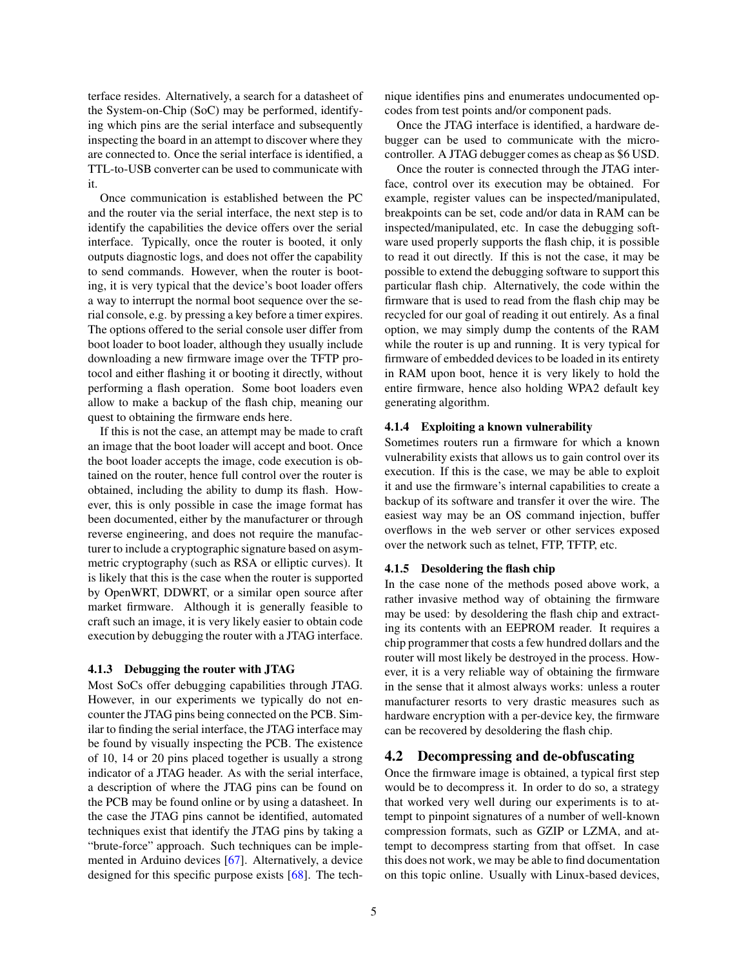terface resides. Alternatively, a search for a datasheet of the System-on-Chip (SoC) may be performed, identifying which pins are the serial interface and subsequently inspecting the board in an attempt to discover where they are connected to. Once the serial interface is identified, a TTL-to-USB converter can be used to communicate with it.

Once communication is established between the PC and the router via the serial interface, the next step is to identify the capabilities the device offers over the serial interface. Typically, once the router is booted, it only outputs diagnostic logs, and does not offer the capability to send commands. However, when the router is booting, it is very typical that the device's boot loader offers a way to interrupt the normal boot sequence over the serial console, e.g. by pressing a key before a timer expires. The options offered to the serial console user differ from boot loader to boot loader, although they usually include downloading a new firmware image over the TFTP protocol and either flashing it or booting it directly, without performing a flash operation. Some boot loaders even allow to make a backup of the flash chip, meaning our quest to obtaining the firmware ends here.

If this is not the case, an attempt may be made to craft an image that the boot loader will accept and boot. Once the boot loader accepts the image, code execution is obtained on the router, hence full control over the router is obtained, including the ability to dump its flash. However, this is only possible in case the image format has been documented, either by the manufacturer or through reverse engineering, and does not require the manufacturer to include a cryptographic signature based on asymmetric cryptography (such as RSA or elliptic curves). It is likely that this is the case when the router is supported by OpenWRT, DDWRT, or a similar open source after market firmware. Although it is generally feasible to craft such an image, it is very likely easier to obtain code execution by debugging the router with a JTAG interface.

### <span id="page-4-0"></span>4.1.3 Debugging the router with JTAG

Most SoCs offer debugging capabilities through JTAG. However, in our experiments we typically do not encounter the JTAG pins being connected on the PCB. Similar to finding the serial interface, the JTAG interface may be found by visually inspecting the PCB. The existence of 10, 14 or 20 pins placed together is usually a strong indicator of a JTAG header. As with the serial interface, a description of where the JTAG pins can be found on the PCB may be found online or by using a datasheet. In the case the JTAG pins cannot be identified, automated techniques exist that identify the JTAG pins by taking a "brute-force" approach. Such techniques can be implemented in Arduino devices [\[67\]](#page-12-14). Alternatively, a device designed for this specific purpose exists [\[68\]](#page-12-15). The technique identifies pins and enumerates undocumented opcodes from test points and/or component pads.

Once the JTAG interface is identified, a hardware debugger can be used to communicate with the microcontroller. A JTAG debugger comes as cheap as \$6 USD.

Once the router is connected through the JTAG interface, control over its execution may be obtained. For example, register values can be inspected/manipulated, breakpoints can be set, code and/or data in RAM can be inspected/manipulated, etc. In case the debugging software used properly supports the flash chip, it is possible to read it out directly. If this is not the case, it may be possible to extend the debugging software to support this particular flash chip. Alternatively, the code within the firmware that is used to read from the flash chip may be recycled for our goal of reading it out entirely. As a final option, we may simply dump the contents of the RAM while the router is up and running. It is very typical for firmware of embedded devices to be loaded in its entirety in RAM upon boot, hence it is very likely to hold the entire firmware, hence also holding WPA2 default key generating algorithm.

# <span id="page-4-1"></span>4.1.4 Exploiting a known vulnerability

Sometimes routers run a firmware for which a known vulnerability exists that allows us to gain control over its execution. If this is the case, we may be able to exploit it and use the firmware's internal capabilities to create a backup of its software and transfer it over the wire. The easiest way may be an OS command injection, buffer overflows in the web server or other services exposed over the network such as telnet, FTP, TFTP, etc.

### <span id="page-4-2"></span>4.1.5 Desoldering the flash chip

In the case none of the methods posed above work, a rather invasive method way of obtaining the firmware may be used: by desoldering the flash chip and extracting its contents with an EEPROM reader. It requires a chip programmer that costs a few hundred dollars and the router will most likely be destroyed in the process. However, it is a very reliable way of obtaining the firmware in the sense that it almost always works: unless a router manufacturer resorts to very drastic measures such as hardware encryption with a per-device key, the firmware can be recovered by desoldering the flash chip.

# 4.2 Decompressing and de-obfuscating

Once the firmware image is obtained, a typical first step would be to decompress it. In order to do so, a strategy that worked very well during our experiments is to attempt to pinpoint signatures of a number of well-known compression formats, such as GZIP or LZMA, and attempt to decompress starting from that offset. In case this does not work, we may be able to find documentation on this topic online. Usually with Linux-based devices,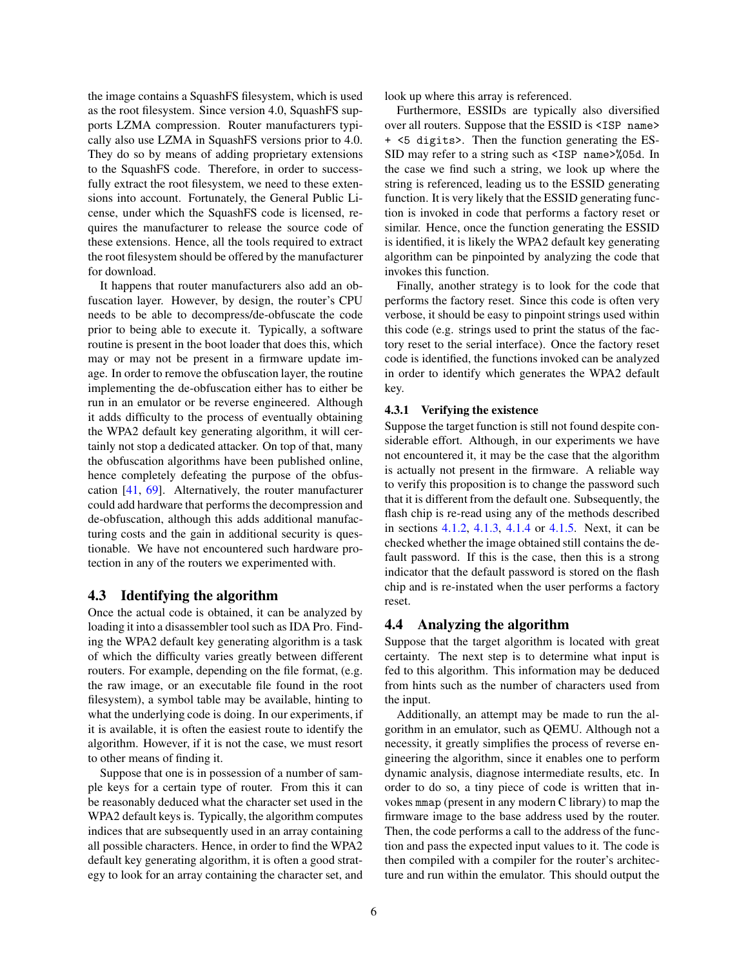the image contains a SquashFS filesystem, which is used as the root filesystem. Since version 4.0, SquashFS supports LZMA compression. Router manufacturers typically also use LZMA in SquashFS versions prior to 4.0. They do so by means of adding proprietary extensions to the SquashFS code. Therefore, in order to successfully extract the root filesystem, we need to these extensions into account. Fortunately, the General Public License, under which the SquashFS code is licensed, requires the manufacturer to release the source code of these extensions. Hence, all the tools required to extract the root filesystem should be offered by the manufacturer for download.

It happens that router manufacturers also add an obfuscation layer. However, by design, the router's CPU needs to be able to decompress/de-obfuscate the code prior to being able to execute it. Typically, a software routine is present in the boot loader that does this, which may or may not be present in a firmware update image. In order to remove the obfuscation layer, the routine implementing the de-obfuscation either has to either be run in an emulator or be reverse engineered. Although it adds difficulty to the process of eventually obtaining the WPA2 default key generating algorithm, it will certainly not stop a dedicated attacker. On top of that, many the obfuscation algorithms have been published online, hence completely defeating the purpose of the obfuscation [\[41,](#page-11-18) [69\]](#page-12-16). Alternatively, the router manufacturer could add hardware that performs the decompression and de-obfuscation, although this adds additional manufacturing costs and the gain in additional security is questionable. We have not encountered such hardware protection in any of the routers we experimented with.

# 4.3 Identifying the algorithm

Once the actual code is obtained, it can be analyzed by loading it into a disassembler tool such as IDA Pro. Finding the WPA2 default key generating algorithm is a task of which the difficulty varies greatly between different routers. For example, depending on the file format, (e.g. the raw image, or an executable file found in the root filesystem), a symbol table may be available, hinting to what the underlying code is doing. In our experiments, if it is available, it is often the easiest route to identify the algorithm. However, if it is not the case, we must resort to other means of finding it.

Suppose that one is in possession of a number of sample keys for a certain type of router. From this it can be reasonably deduced what the character set used in the WPA2 default keys is. Typically, the algorithm computes indices that are subsequently used in an array containing all possible characters. Hence, in order to find the WPA2 default key generating algorithm, it is often a good strategy to look for an array containing the character set, and look up where this array is referenced.

Furthermore, ESSIDs are typically also diversified over all routers. Suppose that the ESSID is <ISP name> + <5 digits>. Then the function generating the ES-SID may refer to a string such as <ISP name>%05d. In the case we find such a string, we look up where the string is referenced, leading us to the ESSID generating function. It is very likely that the ESSID generating function is invoked in code that performs a factory reset or similar. Hence, once the function generating the ESSID is identified, it is likely the WPA2 default key generating algorithm can be pinpointed by analyzing the code that invokes this function.

Finally, another strategy is to look for the code that performs the factory reset. Since this code is often very verbose, it should be easy to pinpoint strings used within this code (e.g. strings used to print the status of the factory reset to the serial interface). Once the factory reset code is identified, the functions invoked can be analyzed in order to identify which generates the WPA2 default key.

### 4.3.1 Verifying the existence

Suppose the target function is still not found despite considerable effort. Although, in our experiments we have not encountered it, it may be the case that the algorithm is actually not present in the firmware. A reliable way to verify this proposition is to change the password such that it is different from the default one. Subsequently, the flash chip is re-read using any of the methods described in sections [4.1.2,](#page-3-4) [4.1.3,](#page-4-0) [4.1.4](#page-4-1) or [4.1.5.](#page-4-2) Next, it can be checked whether the image obtained still contains the default password. If this is the case, then this is a strong indicator that the default password is stored on the flash chip and is re-instated when the user performs a factory reset.

# 4.4 Analyzing the algorithm

Suppose that the target algorithm is located with great certainty. The next step is to determine what input is fed to this algorithm. This information may be deduced from hints such as the number of characters used from the input.

Additionally, an attempt may be made to run the algorithm in an emulator, such as QEMU. Although not a necessity, it greatly simplifies the process of reverse engineering the algorithm, since it enables one to perform dynamic analysis, diagnose intermediate results, etc. In order to do so, a tiny piece of code is written that invokes mmap (present in any modern C library) to map the firmware image to the base address used by the router. Then, the code performs a call to the address of the function and pass the expected input values to it. The code is then compiled with a compiler for the router's architecture and run within the emulator. This should output the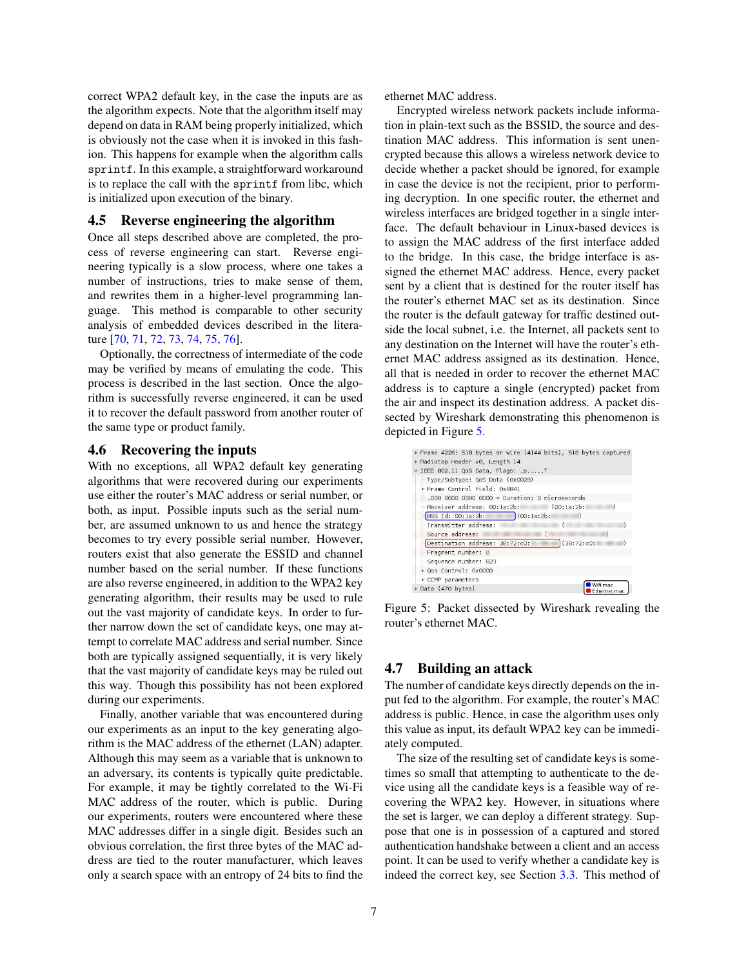correct WPA2 default key, in the case the inputs are as the algorithm expects. Note that the algorithm itself may depend on data in RAM being properly initialized, which is obviously not the case when it is invoked in this fashion. This happens for example when the algorithm calls sprintf. In this example, a straightforward workaround is to replace the call with the sprintf from libc, which is initialized upon execution of the binary.

# 4.5 Reverse engineering the algorithm

Once all steps described above are completed, the process of reverse engineering can start. Reverse engineering typically is a slow process, where one takes a number of instructions, tries to make sense of them, and rewrites them in a higher-level programming language. This method is comparable to other security analysis of embedded devices described in the literature [\[70](#page-12-17), [71](#page-12-18), [72](#page-12-19), [73](#page-12-20), [74](#page-12-21), [75,](#page-12-22) [76\]](#page-12-23).

Optionally, the correctness of intermediate of the code may be verified by means of emulating the code. This process is described in the last section. Once the algorithm is successfully reverse engineered, it can be used it to recover the default password from another router of the same type or product family.

# <span id="page-6-1"></span>4.6 Recovering the inputs

With no exceptions, all WPA2 default key generating algorithms that were recovered during our experiments use either the router's MAC address or serial number, or both, as input. Possible inputs such as the serial number, are assumed unknown to us and hence the strategy becomes to try every possible serial number. However, routers exist that also generate the ESSID and channel number based on the serial number. If these functions are also reverse engineered, in addition to the WPA2 key generating algorithm, their results may be used to rule out the vast majority of candidate keys. In order to further narrow down the set of candidate keys, one may attempt to correlate MAC address and serial number. Since both are typically assigned sequentially, it is very likely that the vast majority of candidate keys may be ruled out this way. Though this possibility has not been explored during our experiments.

Finally, another variable that was encountered during our experiments as an input to the key generating algorithm is the MAC address of the ethernet (LAN) adapter. Although this may seem as a variable that is unknown to an adversary, its contents is typically quite predictable. For example, it may be tightly correlated to the Wi-Fi MAC address of the router, which is public. During our experiments, routers were encountered where these MAC addresses differ in a single digit. Besides such an obvious correlation, the first three bytes of the MAC address are tied to the router manufacturer, which leaves only a search space with an entropy of 24 bits to find the ethernet MAC address.

Encrypted wireless network packets include information in plain-text such as the BSSID, the source and destination MAC address. This information is sent unencrypted because this allows a wireless network device to decide whether a packet should be ignored, for example in case the device is not the recipient, prior to performing decryption. In one specific router, the ethernet and wireless interfaces are bridged together in a single interface. The default behaviour in Linux-based devices is to assign the MAC address of the first interface added to the bridge. In this case, the bridge interface is assigned the ethernet MAC address. Hence, every packet sent by a client that is destined for the router itself has the router's ethernet MAC set as its destination. Since the router is the default gateway for traffic destined outside the local subnet, i.e. the Internet, all packets sent to any destination on the Internet will have the router's ethernet MAC address assigned as its destination. Hence, all that is needed in order to recover the ethernet MAC address is to capture a single (encrypted) packet from the air and inspect its destination address. A packet dissected by Wireshark demonstrating this phenomenon is depicted in Figure [5.](#page-6-0)

| > Frame 4226: 518 bytes on wire (4144 bits), 518 bytes captured |                          |
|-----------------------------------------------------------------|--------------------------|
| > Radiotap Header v0, Length 14                                 |                          |
| v IEEE 802.11 QoS Data, Flags: .pT                              |                          |
| -Type/Subtype: QoS Data (0x0028)                                |                          |
| > Frame Control Field: 0x8841                                   |                          |
|                                                                 |                          |
| -Receiver address: 00:1a:2b: (00:1a:2b:                         |                          |
| BSS Id: 00:la:2b: (00:la:2b:                                    |                          |
| - Transmitter address:<br>6                                     |                          |
| Source address:<br>C                                            |                          |
| (38:72:co:<br>Destination address: 38:72:c0:                    |                          |
| - Fragment number: 0                                            |                          |
| -Sequence number: 823                                           |                          |
| > Qos Control: 0x0000                                           |                          |
| > CCMP parameters                                               |                          |
| > Data (470 bytes)                                              | Wifi mac<br>Ethernet mac |

<span id="page-6-0"></span>Figure 5: Packet dissected by Wireshark revealing the router's ethernet MAC.

# 4.7 Building an attack

The number of candidate keys directly depends on the input fed to the algorithm. For example, the router's MAC address is public. Hence, in case the algorithm uses only this value as input, its default WPA2 key can be immediately computed.

The size of the resulting set of candidate keys is sometimes so small that attempting to authenticate to the device using all the candidate keys is a feasible way of recovering the WPA2 key. However, in situations where the set is larger, we can deploy a different strategy. Suppose that one is in possession of a captured and stored authentication handshake between a client and an access point. It can be used to verify whether a candidate key is indeed the correct key, see Section [3.3.](#page-3-5) This method of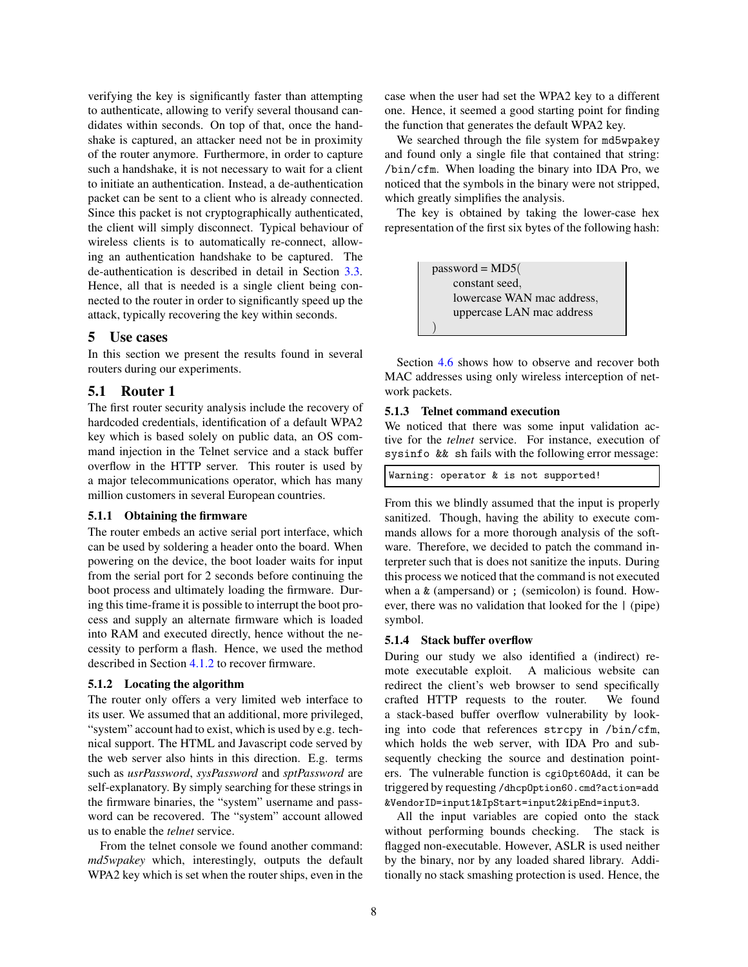verifying the key is significantly faster than attempting to authenticate, allowing to verify several thousand candidates within seconds. On top of that, once the handshake is captured, an attacker need not be in proximity of the router anymore. Furthermore, in order to capture such a handshake, it is not necessary to wait for a client to initiate an authentication. Instead, a de-authentication packet can be sent to a client who is already connected. Since this packet is not cryptographically authenticated, the client will simply disconnect. Typical behaviour of wireless clients is to automatically re-connect, allowing an authentication handshake to be captured. The de-authentication is described in detail in Section [3.3.](#page-3-5) Hence, all that is needed is a single client being connected to the router in order to significantly speed up the attack, typically recovering the key within seconds.

## <span id="page-7-0"></span>5 Use cases

In this section we present the results found in several routers during our experiments.

# 5.1 Router 1

The first router security analysis include the recovery of hardcoded credentials, identification of a default WPA2 key which is based solely on public data, an OS command injection in the Telnet service and a stack buffer overflow in the HTTP server. This router is used by a major telecommunications operator, which has many million customers in several European countries.

### 5.1.1 Obtaining the firmware

The router embeds an active serial port interface, which can be used by soldering a header onto the board. When powering on the device, the boot loader waits for input from the serial port for 2 seconds before continuing the boot process and ultimately loading the firmware. During this time-frame it is possible to interrupt the boot process and supply an alternate firmware which is loaded into RAM and executed directly, hence without the necessity to perform a flash. Hence, we used the method described in Section [4.1.2](#page-3-4) to recover firmware.

## 5.1.2 Locating the algorithm

The router only offers a very limited web interface to its user. We assumed that an additional, more privileged, "system" account had to exist, which is used by e.g. technical support. The HTML and Javascript code served by the web server also hints in this direction. E.g. terms such as *usrPassword*, *sysPassword* and *sptPassword* are self-explanatory. By simply searching for these strings in the firmware binaries, the "system" username and password can be recovered. The "system" account allowed us to enable the *telnet* service.

From the telnet console we found another command: *md5wpakey* which, interestingly, outputs the default WPA2 key which is set when the router ships, even in the case when the user had set the WPA2 key to a different one. Hence, it seemed a good starting point for finding the function that generates the default WPA2 key.

We searched through the file system for md5wpakey and found only a single file that contained that string: /bin/cfm. When loading the binary into IDA Pro, we noticed that the symbols in the binary were not stripped, which greatly simplifies the analysis.

The key is obtained by taking the lower-case hex representation of the first six bytes of the following hash:

> $password = MD5($ constant seed, lowercase WAN mac address, uppercase LAN mac address )

Section [4.6](#page-6-1) shows how to observe and recover both MAC addresses using only wireless interception of network packets.

#### 5.1.3 Telnet command execution

We noticed that there was some input validation active for the *telnet* service. For instance, execution of sysinfo && sh fails with the following error message:

Warning: operator & is not supported!

From this we blindly assumed that the input is properly sanitized. Though, having the ability to execute commands allows for a more thorough analysis of the software. Therefore, we decided to patch the command interpreter such that is does not sanitize the inputs. During this process we noticed that the command is not executed when a & (ampersand) or ; (semicolon) is found. However, there was no validation that looked for the | (pipe) symbol.

#### 5.1.4 Stack buffer overflow

During our study we also identified a (indirect) remote executable exploit. A malicious website can redirect the client's web browser to send specifically crafted HTTP requests to the router. We found a stack-based buffer overflow vulnerability by looking into code that references strcpy in /bin/cfm, which holds the web server, with IDA Pro and subsequently checking the source and destination pointers. The vulnerable function is cgiOpt60Add, it can be triggered by requesting /dhcpOption60.cmd?action=add &VendorID=input1&IpStart=input2&ipEnd=input3.

All the input variables are copied onto the stack without performing bounds checking. The stack is flagged non-executable. However, ASLR is used neither by the binary, nor by any loaded shared library. Additionally no stack smashing protection is used. Hence, the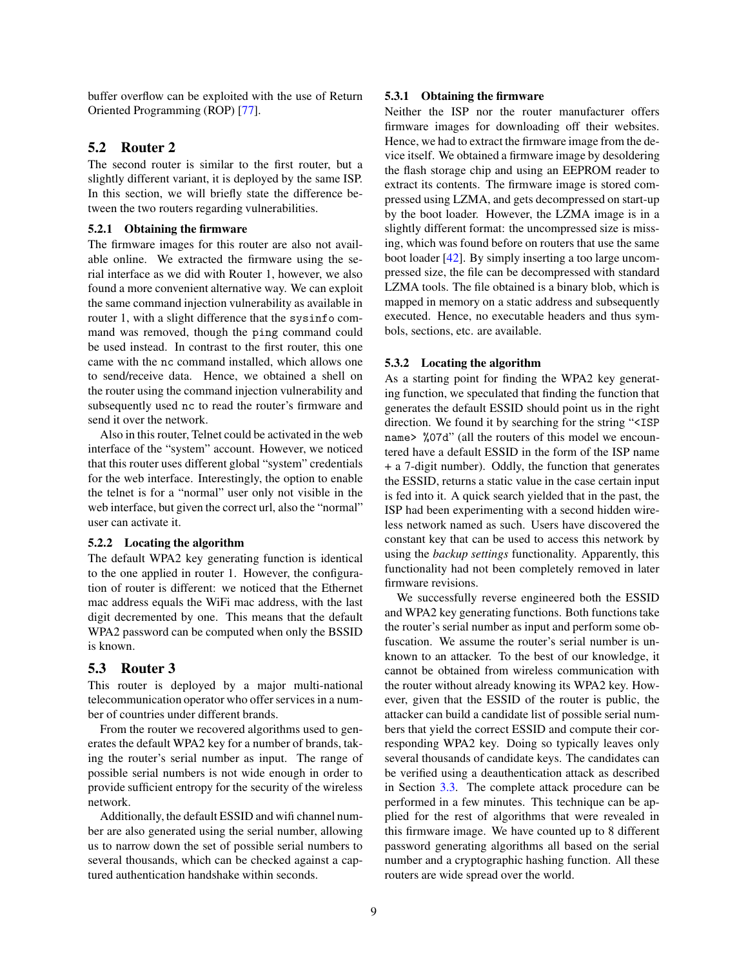buffer overflow can be exploited with the use of Return Oriented Programming (ROP) [\[77\]](#page-12-24).

# 5.2 Router 2

The second router is similar to the first router, but a slightly different variant, it is deployed by the same ISP. In this section, we will briefly state the difference between the two routers regarding vulnerabilities.

# 5.2.1 Obtaining the firmware

The firmware images for this router are also not available online. We extracted the firmware using the serial interface as we did with Router 1, however, we also found a more convenient alternative way. We can exploit the same command injection vulnerability as available in router 1, with a slight difference that the sysinfo command was removed, though the ping command could be used instead. In contrast to the first router, this one came with the nc command installed, which allows one to send/receive data. Hence, we obtained a shell on the router using the command injection vulnerability and subsequently used nc to read the router's firmware and send it over the network.

Also in this router, Telnet could be activated in the web interface of the "system" account. However, we noticed that this router uses different global "system" credentials for the web interface. Interestingly, the option to enable the telnet is for a "normal" user only not visible in the web interface, but given the correct url, also the "normal" user can activate it.

### 5.2.2 Locating the algorithm

The default WPA2 key generating function is identical to the one applied in router 1. However, the configuration of router is different: we noticed that the Ethernet mac address equals the WiFi mac address, with the last digit decremented by one. This means that the default WPA2 password can be computed when only the BSSID is known.

### 5.3 Router 3

This router is deployed by a major multi-national telecommunication operator who offer services in a number of countries under different brands.

From the router we recovered algorithms used to generates the default WPA2 key for a number of brands, taking the router's serial number as input. The range of possible serial numbers is not wide enough in order to provide sufficient entropy for the security of the wireless network.

Additionally, the default ESSID and wifi channel number are also generated using the serial number, allowing us to narrow down the set of possible serial numbers to several thousands, which can be checked against a captured authentication handshake within seconds.

### 5.3.1 Obtaining the firmware

Neither the ISP nor the router manufacturer offers firmware images for downloading off their websites. Hence, we had to extract the firmware image from the device itself. We obtained a firmware image by desoldering the flash storage chip and using an EEPROM reader to extract its contents. The firmware image is stored compressed using LZMA, and gets decompressed on start-up by the boot loader. However, the LZMA image is in a slightly different format: the uncompressed size is missing, which was found before on routers that use the same boot loader [\[42\]](#page-11-19). By simply inserting a too large uncompressed size, the file can be decompressed with standard LZMA tools. The file obtained is a binary blob, which is mapped in memory on a static address and subsequently executed. Hence, no executable headers and thus symbols, sections, etc. are available.

### 5.3.2 Locating the algorithm

As a starting point for finding the WPA2 key generating function, we speculated that finding the function that generates the default ESSID should point us in the right direction. We found it by searching for the string "<ISP name> %07d" (all the routers of this model we encountered have a default ESSID in the form of the ISP name + a 7-digit number). Oddly, the function that generates the ESSID, returns a static value in the case certain input is fed into it. A quick search yielded that in the past, the ISP had been experimenting with a second hidden wireless network named as such. Users have discovered the constant key that can be used to access this network by using the *backup settings* functionality. Apparently, this functionality had not been completely removed in later firmware revisions.

We successfully reverse engineered both the ESSID and WPA2 key generating functions. Both functions take the router's serial number as input and perform some obfuscation. We assume the router's serial number is unknown to an attacker. To the best of our knowledge, it cannot be obtained from wireless communication with the router without already knowing its WPA2 key. However, given that the ESSID of the router is public, the attacker can build a candidate list of possible serial numbers that yield the correct ESSID and compute their corresponding WPA2 key. Doing so typically leaves only several thousands of candidate keys. The candidates can be verified using a deauthentication attack as described in Section [3.3.](#page-3-5) The complete attack procedure can be performed in a few minutes. This technique can be applied for the rest of algorithms that were revealed in this firmware image. We have counted up to 8 different password generating algorithms all based on the serial number and a cryptographic hashing function. All these routers are wide spread over the world.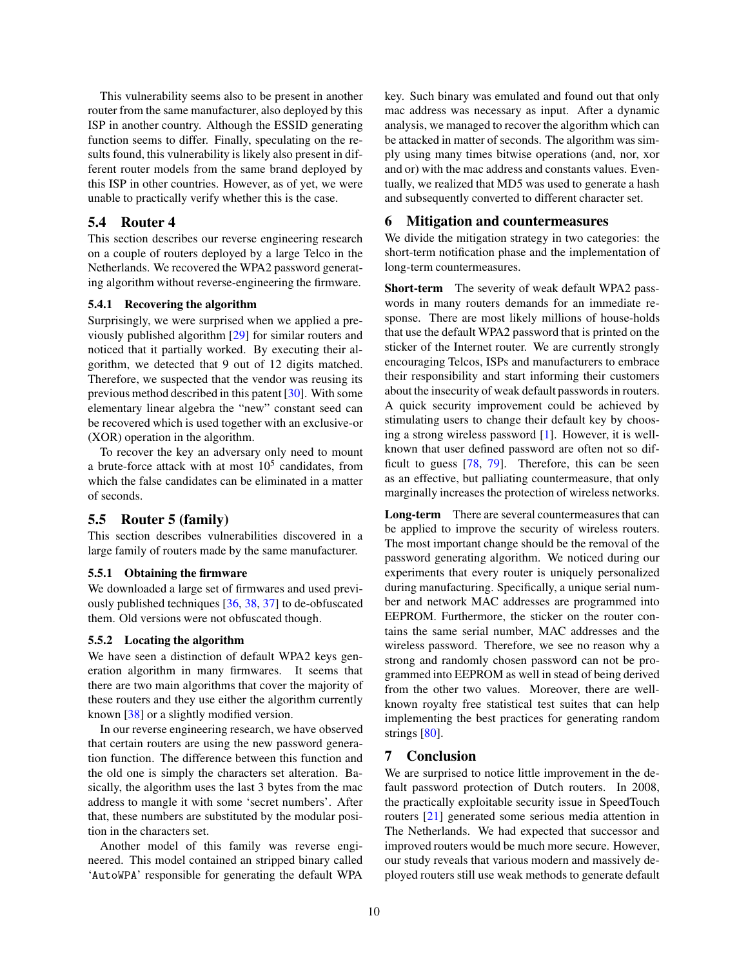This vulnerability seems also to be present in another router from the same manufacturer, also deployed by this ISP in another country. Although the ESSID generating function seems to differ. Finally, speculating on the results found, this vulnerability is likely also present in different router models from the same brand deployed by this ISP in other countries. However, as of yet, we were unable to practically verify whether this is the case.

# 5.4 Router 4

This section describes our reverse engineering research on a couple of routers deployed by a large Telco in the Netherlands. We recovered the WPA2 password generating algorithm without reverse-engineering the firmware.

### 5.4.1 Recovering the algorithm

Surprisingly, we were surprised when we applied a previously published algorithm [\[29\]](#page-11-6) for similar routers and noticed that it partially worked. By executing their algorithm, we detected that 9 out of 12 digits matched. Therefore, we suspected that the vendor was reusing its previous method described in this patent [\[30\]](#page-11-7). With some elementary linear algebra the "new" constant seed can be recovered which is used together with an exclusive-or (XOR) operation in the algorithm.

To recover the key an adversary only need to mount a brute-force attack with at most  $10^5$  candidates, from which the false candidates can be eliminated in a matter of seconds.

# 5.5 Router 5 (family)

This section describes vulnerabilities discovered in a large family of routers made by the same manufacturer.

#### 5.5.1 Obtaining the firmware

We downloaded a large set of firmwares and used previously published techniques [\[36,](#page-11-13) [38](#page-11-15), [37](#page-11-14)] to de-obfuscated them. Old versions were not obfuscated though.

#### 5.5.2 Locating the algorithm

We have seen a distinction of default WPA2 keys generation algorithm in many firmwares. It seems that there are two main algorithms that cover the majority of these routers and they use either the algorithm currently known [\[38\]](#page-11-15) or a slightly modified version.

In our reverse engineering research, we have observed that certain routers are using the new password generation function. The difference between this function and the old one is simply the characters set alteration. Basically, the algorithm uses the last 3 bytes from the mac address to mangle it with some 'secret numbers'. After that, these numbers are substituted by the modular position in the characters set.

Another model of this family was reverse engineered. This model contained an stripped binary called 'AutoWPA' responsible for generating the default WPA key. Such binary was emulated and found out that only mac address was necessary as input. After a dynamic analysis, we managed to recover the algorithm which can be attacked in matter of seconds. The algorithm was simply using many times bitwise operations (and, nor, xor and or) with the mac address and constants values. Eventually, we realized that MD5 was used to generate a hash and subsequently converted to different character set.

### <span id="page-9-0"></span>6 Mitigation and countermeasures

We divide the mitigation strategy in two categories: the short-term notification phase and the implementation of long-term countermeasures.

Short-term The severity of weak default WPA2 passwords in many routers demands for an immediate response. There are most likely millions of house-holds that use the default WPA2 password that is printed on the sticker of the Internet router. We are currently strongly encouraging Telcos, ISPs and manufacturers to embrace their responsibility and start informing their customers about the insecurity of weak default passwords in routers. A quick security improvement could be achieved by stimulating users to change their default key by choosing a strong wireless password [\[1](#page-10-0)]. However, it is wellknown that user defined password are often not so difficult to guess [\[78](#page-12-25), [79](#page-12-26)]. Therefore, this can be seen as an effective, but palliating countermeasure, that only marginally increases the protection of wireless networks.

Long-term There are several countermeasures that can be applied to improve the security of wireless routers. The most important change should be the removal of the password generating algorithm. We noticed during our experiments that every router is uniquely personalized during manufacturing. Specifically, a unique serial number and network MAC addresses are programmed into EEPROM. Furthermore, the sticker on the router contains the same serial number, MAC addresses and the wireless password. Therefore, we see no reason why a strong and randomly chosen password can not be programmed into EEPROM as well in stead of being derived from the other two values. Moreover, there are wellknown royalty free statistical test suites that can help implementing the best practices for generating random strings [\[80](#page-12-27)].

### <span id="page-9-1"></span>7 Conclusion

We are surprised to notice little improvement in the default password protection of Dutch routers. In 2008, the practically exploitable security issue in SpeedTouch routers [\[21\]](#page-10-20) generated some serious media attention in The Netherlands. We had expected that successor and improved routers would be much more secure. However, our study reveals that various modern and massively deployed routers still use weak methods to generate default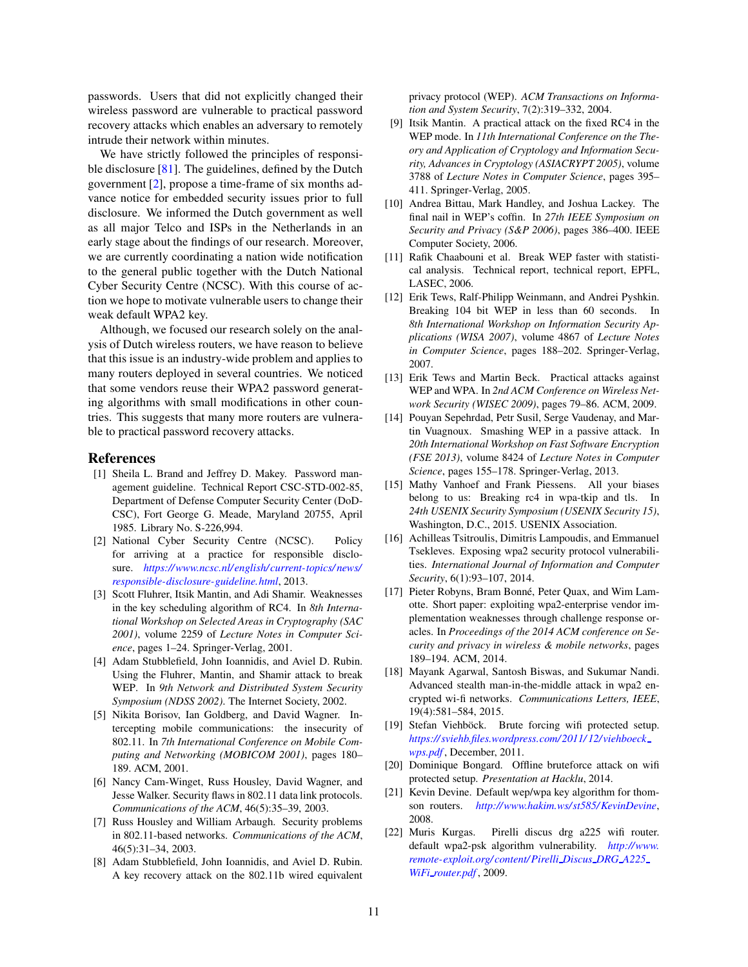passwords. Users that did not explicitly changed their wireless password are vulnerable to practical password recovery attacks which enables an adversary to remotely intrude their network within minutes.

We have strictly followed the principles of responsible disclosure [\[81](#page-12-28)]. The guidelines, defined by the Dutch government [\[2](#page-10-1)], propose a time-frame of six months advance notice for embedded security issues prior to full disclosure. We informed the Dutch government as well as all major Telco and ISPs in the Netherlands in an early stage about the findings of our research. Moreover, we are currently coordinating a nation wide notification to the general public together with the Dutch National Cyber Security Centre (NCSC). With this course of action we hope to motivate vulnerable users to change their weak default WPA2 key.

Although, we focused our research solely on the analysis of Dutch wireless routers, we have reason to believe that this issue is an industry-wide problem and applies to many routers deployed in several countries. We noticed that some vendors reuse their WPA2 password generating algorithms with small modifications in other countries. This suggests that many more routers are vulnerable to practical password recovery attacks.

# References

- <span id="page-10-0"></span>[1] Sheila L. Brand and Jeffrey D. Makey. Password management guideline. Technical Report CSC-STD-002-85, Department of Defense Computer Security Center (DoD-CSC), Fort George G. Meade, Maryland 20755, April 1985. Library No. S-226,994.
- <span id="page-10-1"></span>[2] National Cyber Security Centre (NCSC). Policy for arriving at a practice for responsible disclosure. *[https://www.ncsc.nl/english/current-topics/ news/](https://www.ncsc.nl/english/current-topics/news/responsible-disclosure-guideline.html) [responsible-disclosure-guideline.html](https://www.ncsc.nl/english/current-topics/news/responsible-disclosure-guideline.html)*, 2013.
- <span id="page-10-2"></span>[3] Scott Fluhrer, Itsik Mantin, and Adi Shamir. Weaknesses in the key scheduling algorithm of RC4. In *8th International Workshop on Selected Areas in Cryptography (SAC 2001)*, volume 2259 of *Lecture Notes in Computer Science*, pages 1–24. Springer-Verlag, 2001.
- <span id="page-10-3"></span>[4] Adam Stubblefield, John Ioannidis, and Aviel D. Rubin. Using the Fluhrer, Mantin, and Shamir attack to break WEP. In *9th Network and Distributed System Security Symposium (NDSS 2002)*. The Internet Society, 2002.
- <span id="page-10-4"></span>[5] Nikita Borisov, Ian Goldberg, and David Wagner. Intercepting mobile communications: the insecurity of 802.11. In *7th International Conference on Mobile Computing and Networking (MOBICOM 2001)*, pages 180– 189. ACM, 2001.
- <span id="page-10-5"></span>[6] Nancy Cam-Winget, Russ Housley, David Wagner, and Jesse Walker. Security flaws in 802.11 data link protocols. *Communications of the ACM*, 46(5):35–39, 2003.
- <span id="page-10-6"></span>[7] Russ Housley and William Arbaugh. Security problems in 802.11-based networks. *Communications of the ACM*, 46(5):31–34, 2003.
- <span id="page-10-7"></span>[8] Adam Stubblefield, John Ioannidis, and Aviel D. Rubin. A key recovery attack on the 802.11b wired equivalent

privacy protocol (WEP). *ACM Transactions on Information and System Security*, 7(2):319–332, 2004.

- <span id="page-10-8"></span>[9] Itsik Mantin. A practical attack on the fixed RC4 in the WEP mode. In *11th International Conference on the Theory and Application of Cryptology and Information Security, Advances in Cryptology (ASIACRYPT 2005)*, volume 3788 of *Lecture Notes in Computer Science*, pages 395– 411. Springer-Verlag, 2005.
- <span id="page-10-9"></span>[10] Andrea Bittau, Mark Handley, and Joshua Lackey. The final nail in WEP's coffin. In *27th IEEE Symposium on Security and Privacy (S&P 2006)*, pages 386–400. IEEE Computer Society, 2006.
- <span id="page-10-10"></span>[11] Rafik Chaabouni et al. Break WEP faster with statistical analysis. Technical report, technical report, EPFL, LASEC, 2006.
- <span id="page-10-11"></span>[12] Erik Tews, Ralf-Philipp Weinmann, and Andrei Pyshkin. Breaking 104 bit WEP in less than 60 seconds. In *8th International Workshop on Information Security Applications (WISA 2007)*, volume 4867 of *Lecture Notes in Computer Science*, pages 188–202. Springer-Verlag, 2007.
- <span id="page-10-12"></span>[13] Erik Tews and Martin Beck. Practical attacks against WEP and WPA. In *2nd ACM Conference on Wireless Network Security (WISEC 2009)*, pages 79–86. ACM, 2009.
- <span id="page-10-13"></span>[14] Pouyan Sepehrdad, Petr Susil, Serge Vaudenay, and Martin Vuagnoux. Smashing WEP in a passive attack. In *20th International Workshop on Fast Software Encryption (FSE 2013)*, volume 8424 of *Lecture Notes in Computer Science*, pages 155–178. Springer-Verlag, 2013.
- <span id="page-10-14"></span>[15] Mathy Vanhoef and Frank Piessens. All your biases belong to us: Breaking rc4 in wpa-tkip and tls. In *24th USENIX Security Symposium (USENIX Security 15)*, Washington, D.C., 2015. USENIX Association.
- <span id="page-10-15"></span>[16] Achilleas Tsitroulis, Dimitris Lampoudis, and Emmanuel Tsekleves. Exposing wpa2 security protocol vulnerabilities. *International Journal of Information and Computer Security*, 6(1):93–107, 2014.
- <span id="page-10-16"></span>[17] Pieter Robyns, Bram Bonné, Peter Quax, and Wim Lamotte. Short paper: exploiting wpa2-enterprise vendor implementation weaknesses through challenge response oracles. In *Proceedings of the 2014 ACM conference on Security and privacy in wireless & mobile networks*, pages 189–194. ACM, 2014.
- <span id="page-10-17"></span>[18] Mayank Agarwal, Santosh Biswas, and Sukumar Nandi. Advanced stealth man-in-the-middle attack in wpa2 encrypted wi-fi networks. *Communications Letters, IEEE*, 19(4):581–584, 2015.
- <span id="page-10-18"></span>[19] Stefan Viehböck. Brute forcing wifi protected setup. *[https:// sviehb.files.wordpress.com/ 2011/ 12/viehboeck](https://sviehb.files.wordpress.com/2011/12/viehboeck_wps.pdf) [wps.pdf](https://sviehb.files.wordpress.com/2011/12/viehboeck_wps.pdf)* , December, 2011.
- <span id="page-10-19"></span>[20] Dominique Bongard. Offline bruteforce attack on wifi protected setup. *Presentation at Hacklu*, 2014.
- <span id="page-10-20"></span>[21] Kevin Devine. Default wep/wpa key algorithm for thomson routers. *<http://www.hakim.ws/st585/KevinDevine>*, 2008.
- <span id="page-10-21"></span>[22] Muris Kurgas. Pirelli discus drg a225 wifi router. default wpa2-psk algorithm vulnerability. *[http://www.](http://www.remote-exploit.org/content/Pirelli_Discus_DRG_A225_WiFi_router.pdf) [remote-exploit.org/ content/ Pirelli](http://www.remote-exploit.org/content/Pirelli_Discus_DRG_A225_WiFi_router.pdf) Discus DRG A225 WiFi [router.pdf](http://www.remote-exploit.org/content/Pirelli_Discus_DRG_A225_WiFi_router.pdf)* , 2009.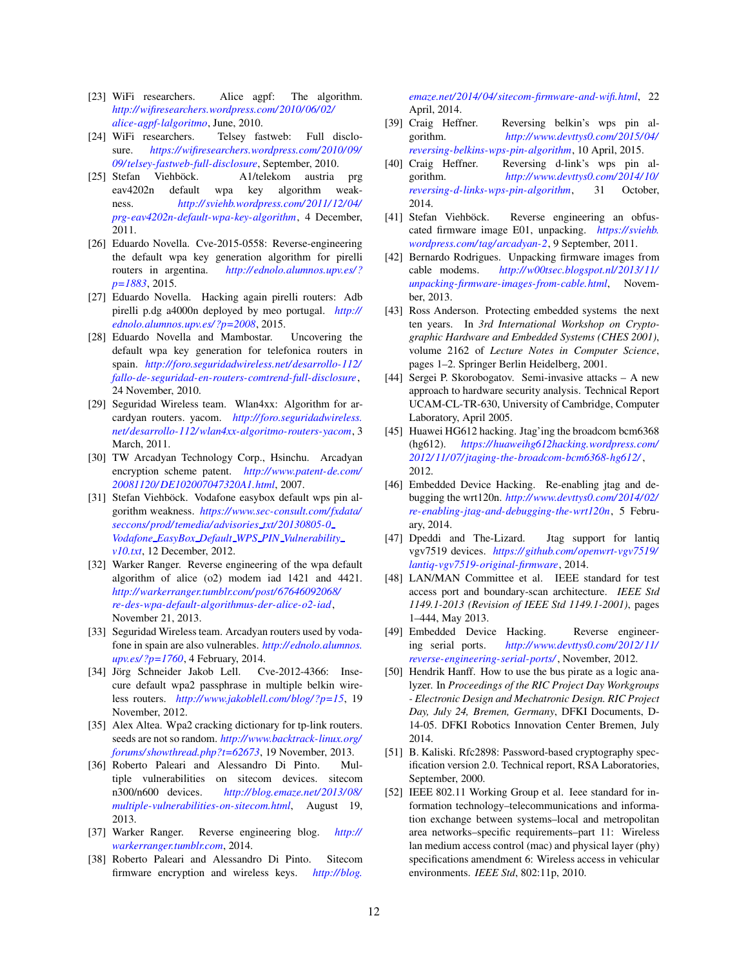- <span id="page-11-0"></span>[23] WiFi researchers. Alice agpf: The algorithm. *[http://wifiresearchers.wordpress.com/ 2010/ 06/ 02/](http://wifiresearchers.wordpress.com/2010/06/02/alice-agpf-lalgoritmo) [alice-agpf-lalgoritmo](http://wifiresearchers.wordpress.com/2010/06/02/alice-agpf-lalgoritmo)*, June, 2010.
- <span id="page-11-1"></span>[24] WiFi researchers. Telsey fastweb: Full disclosure. *[https://wifiresearchers.wordpress.com/ 2010/ 09/](https://wifiresearchers.wordpress.com/2010/09/09/telsey-fastweb-full-disclosure) [09/telsey-fastweb-full-disclosure](https://wifiresearchers.wordpress.com/2010/09/09/telsey-fastweb-full-disclosure)*, September, 2010.
- <span id="page-11-2"></span>[25] Stefan Viehböck. A1/telekom austria prg eav4202n default wpa key algorithm weakness. *[http:// sviehb.wordpress.com/ 2011/ 12/ 04/](http://sviehb.wordpress.com/2011/12/04/prg-eav4202n-default-wpa-key-algorithm) [prg-eav4202n-default-wpa-key-algorithm](http://sviehb.wordpress.com/2011/12/04/prg-eav4202n-default-wpa-key-algorithm)*, 4 December, 2011.
- <span id="page-11-3"></span>[26] Eduardo Novella. Cve-2015-0558: Reverse-engineering the default wpa key generation algorithm for pirelli routers in argentina. *[http://ednolo.alumnos.upv.es/ ?](http://ednolo.alumnos.upv.es/?p=1883) [p=1883](http://ednolo.alumnos.upv.es/?p=1883)*, 2015.
- <span id="page-11-4"></span>[27] Eduardo Novella. Hacking again pirelli routers: Adb pirelli p.dg a4000n deployed by meo portugal. *[http://](http://ednolo.alumnos.upv.es/?p=2008) [ednolo.alumnos.upv.es/ ?p=2008](http://ednolo.alumnos.upv.es/?p=2008)*, 2015.
- <span id="page-11-5"></span>[28] Eduardo Novella and Mambostar. Uncovering the default wpa key generation for telefonica routers in spain. *[http://foro.seguridadwireless.net/ desarrollo-112/](http://foro.seguridadwireless.net/desarrollo-112/fallo-de-seguridad-en-routers-comtrend-full-disclosure) [fallo-de-seguridad-en-routers-comtrend-full-disclosure](http://foro.seguridadwireless.net/desarrollo-112/fallo-de-seguridad-en-routers-comtrend-full-disclosure)*, 24 November, 2010.
- <span id="page-11-6"></span>[29] Seguridad Wireless team. Wlan4xx: Algorithm for arcardyan routers. yacom. *[http://foro.seguridadwireless.](http://foro.seguridadwireless.net/desarrollo-112/wlan4xx-algoritmo-routers-yacom) [net/ desarrollo-112/ wlan4xx-algoritmo-routers-yacom](http://foro.seguridadwireless.net/desarrollo-112/wlan4xx-algoritmo-routers-yacom)*, 3 March, 2011.
- <span id="page-11-7"></span>[30] TW Arcadyan Technology Corp., Hsinchu. Arcadyan encryption scheme patent. *[http://www.patent-de.com/](http://www.patent-de.com/20081120/DE102007047320A1.html) [20081120/ DE102007047320A1.html](http://www.patent-de.com/20081120/DE102007047320A1.html)*, 2007.
- <span id="page-11-8"></span>[31] Stefan Viehböck. Vodafone easybox default wps pin algorithm weakness. *[https://www.sec-consult.com/fxdata/](https://www.sec-consult.com/fxdata/seccons/prod/temedia/advisories_txt/20130805-0_Vodafone_EasyBox_Default_WPS_PIN_Vulnerability_v10.txt) [seccons/ prod/temedia/ advisories](https://www.sec-consult.com/fxdata/seccons/prod/temedia/advisories_txt/20130805-0_Vodafone_EasyBox_Default_WPS_PIN_Vulnerability_v10.txt) txt/ 20130805-0 Vodafone EasyBox Default WPS PIN [Vulnerability](https://www.sec-consult.com/fxdata/seccons/prod/temedia/advisories_txt/20130805-0_Vodafone_EasyBox_Default_WPS_PIN_Vulnerability_v10.txt) [v10.txt](https://www.sec-consult.com/fxdata/seccons/prod/temedia/advisories_txt/20130805-0_Vodafone_EasyBox_Default_WPS_PIN_Vulnerability_v10.txt)*, 12 December, 2012.
- <span id="page-11-9"></span>[32] Warker Ranger. Reverse engineering of the wpa default algorithm of alice (o2) modem iad 1421 and 4421. *[http://warkerranger.tumblr.com/ post/ 67646092068/](http://warkerranger.tumblr.com/post/67646092068/re-des-wpa-default-algorithmus-der-alice-o2-iad) [re-des-wpa-default-algorithmus-der-alice-o2-iad](http://warkerranger.tumblr.com/post/67646092068/re-des-wpa-default-algorithmus-der-alice-o2-iad)*, November 21, 2013.
- <span id="page-11-10"></span>[33] Seguridad Wireless team. Arcadyan routers used by vodafone in spain are also vulnerables. *[http://ednolo.alumnos.](http://ednolo.alumnos.upv.es/?p=1760) [upv.es/ ?p=1760](http://ednolo.alumnos.upv.es/?p=1760)*, 4 February, 2014.
- <span id="page-11-11"></span>[34] Jörg Schneider Jakob Lell. Cve-2012-4366: Insecure default wpa2 passphrase in multiple belkin wireless routers. *[http://www.jakoblell.com/ blog/ ?p=15](http://www.jakoblell.com/blog/?p=15)*, 19 November, 2012.
- <span id="page-11-12"></span>[35] Alex Altea. Wpa2 cracking dictionary for tp-link routers. seeds are not so random. *[http://www.backtrack-linux.org/](http://www.backtrack-linux.org/forums/showthread.php?t=62673) [forums/ showthread.php?t=62673](http://www.backtrack-linux.org/forums/showthread.php?t=62673)*, 19 November, 2013.
- <span id="page-11-13"></span>[36] Roberto Paleari and Alessandro Di Pinto. Multiple vulnerabilities on sitecom devices. sitecom n300/n600 devices. *[http:// blog.emaze.net/ 2013/ 08/](http://blog.emaze.net/2013/08/multiple-vulnerabilities-on-sitecom.html) [multiple-vulnerabilities-on-sitecom.html](http://blog.emaze.net/2013/08/multiple-vulnerabilities-on-sitecom.html)*, August 19, 2013.
- <span id="page-11-14"></span>[37] Warker Ranger. Reverse engineering blog. *[http://](http://warkerranger.tumblr.com) [warkerranger.tumblr.com](http://warkerranger.tumblr.com)*, 2014.
- <span id="page-11-15"></span>[38] Roberto Paleari and Alessandro Di Pinto. Sitecom firmware encryption and wireless keys. *[http://blog.](http://blog.emaze.net/2014/04/sitecom-firmware-and-wifi.html)*

*[emaze.net/ 2014/ 04/ sitecom-firmware-and-wifi.html](http://blog.emaze.net/2014/04/sitecom-firmware-and-wifi.html)*, 22 April, 2014.

- <span id="page-11-16"></span>[39] Craig Heffner. Reversing belkin's wps pin algorithm. *[http://www.devttys0.com/ 2015/ 04/](http://www.devttys0.com/2015/04/reversing-belkins-wps-pin-algorithm) [reversing-belkins-wps-pin-algorithm](http://www.devttys0.com/2015/04/reversing-belkins-wps-pin-algorithm)*, 10 April, 2015.
- <span id="page-11-17"></span>[40] Craig Heffner. Reversing d-link's wps pin algorithm. *[http://www.devttys0.com/ 2014/ 10/](http://www.devttys0.com/2014/10/reversing-d-links-wps-pin-algorithm) [reversing-d-links-wps-pin-algorithm](http://www.devttys0.com/2014/10/reversing-d-links-wps-pin-algorithm)*, 31 October, 2014.
- <span id="page-11-18"></span>[41] Stefan Viehböck. Reverse engineering an obfuscated firmware image E01, unpacking. *[https://sviehb.](https://sviehb.wordpress.com/tag/arcadyan-2) [wordpress.com/tag/ arcadyan-2](https://sviehb.wordpress.com/tag/arcadyan-2)*, 9 September, 2011.
- <span id="page-11-19"></span>[42] Bernardo Rodrigues. Unpacking firmware images from cable modems. *[http://w00tsec.blogspot.nl/ 2013/ 11/](http://w00tsec.blogspot.nl/2013/11/unpacking-firmware-images-from-cable.html) [unpacking-firmware-images-from-cable.html](http://w00tsec.blogspot.nl/2013/11/unpacking-firmware-images-from-cable.html)*, November, 2013.
- <span id="page-11-20"></span>[43] Ross Anderson. Protecting embedded systems the next ten years. In *3rd International Workshop on Cryptographic Hardware and Embedded Systems (CHES 2001)*, volume 2162 of *Lecture Notes in Computer Science*, pages 1–2. Springer Berlin Heidelberg, 2001.
- <span id="page-11-21"></span>[44] Sergei P. Skorobogatov. Semi-invasive attacks – A new approach to hardware security analysis. Technical Report UCAM-CL-TR-630, University of Cambridge, Computer Laboratory, April 2005.
- <span id="page-11-22"></span>[45] Huawei HG612 hacking. Jtag'ing the broadcom bcm6368 (hg612). *[https:// huaweihg612hacking.wordpress.com/](https://huaweihg612hacking.wordpress.com/2012/11/07/jtaging-the-broadcom-bcm6368-hg612/) [2012/ 11/ 07/jtaging-the-broadcom-bcm6368-hg612/](https://huaweihg612hacking.wordpress.com/2012/11/07/jtaging-the-broadcom-bcm6368-hg612/)* , 2012.
- <span id="page-11-23"></span>[46] Embedded Device Hacking. Re-enabling jtag and debugging the wrt120n. *[http://www.devttys0.com/ 2014/ 02/](http://www.devttys0.com/2014/02/re-enabling-jtag-and-debugging-the-wrt120n) [re-enabling-jtag-and-debugging-the-wrt120n](http://www.devttys0.com/2014/02/re-enabling-jtag-and-debugging-the-wrt120n)*, 5 February, 2014.
- <span id="page-11-24"></span>[47] Dpeddi and The-Lizard. Jtag support for lantiq vgv7519 devices. *[https:// github.com/ openwrt-vgv7519/](https://github.com/openwrt-vgv7519/lantiq-vgv7519-original-firmware) [lantiq-vgv7519-original-firmware](https://github.com/openwrt-vgv7519/lantiq-vgv7519-original-firmware)*, 2014.
- <span id="page-11-25"></span>[48] LAN/MAN Committee et al. IEEE standard for test access port and boundary-scan architecture. *IEEE Std 1149.1-2013 (Revision of IEEE Std 1149.1-2001)*, pages 1–444, May 2013.
- <span id="page-11-26"></span>[49] Embedded Device Hacking. Reverse engineering serial ports. *[http://www.devttys0.com/ 2012/ 11/](http://www.devttys0.com/2012/11/reverse-engineering-serial-ports/) [reverse-engineering-serial-ports/](http://www.devttys0.com/2012/11/reverse-engineering-serial-ports/)* , November, 2012.
- <span id="page-11-27"></span>[50] Hendrik Hanff. How to use the bus pirate as a logic analyzer. In *Proceedings of the RIC Project Day Workgroups - Electronic Design and Mechatronic Design. RIC Project Day, July 24, Bremen, Germany*, DFKI Documents, D-14-05. DFKI Robotics Innovation Center Bremen, July 2014.
- <span id="page-11-28"></span>[51] B. Kaliski. Rfc2898: Password-based cryptography specification version 2.0. Technical report, RSA Laboratories, September, 2000.
- <span id="page-11-29"></span>[52] IEEE 802.11 Working Group et al. Ieee standard for information technology–telecommunications and information exchange between systems–local and metropolitan area networks–specific requirements–part 11: Wireless lan medium access control (mac) and physical layer (phy) specifications amendment 6: Wireless access in vehicular environments. *IEEE Std*, 802:11p, 2010.